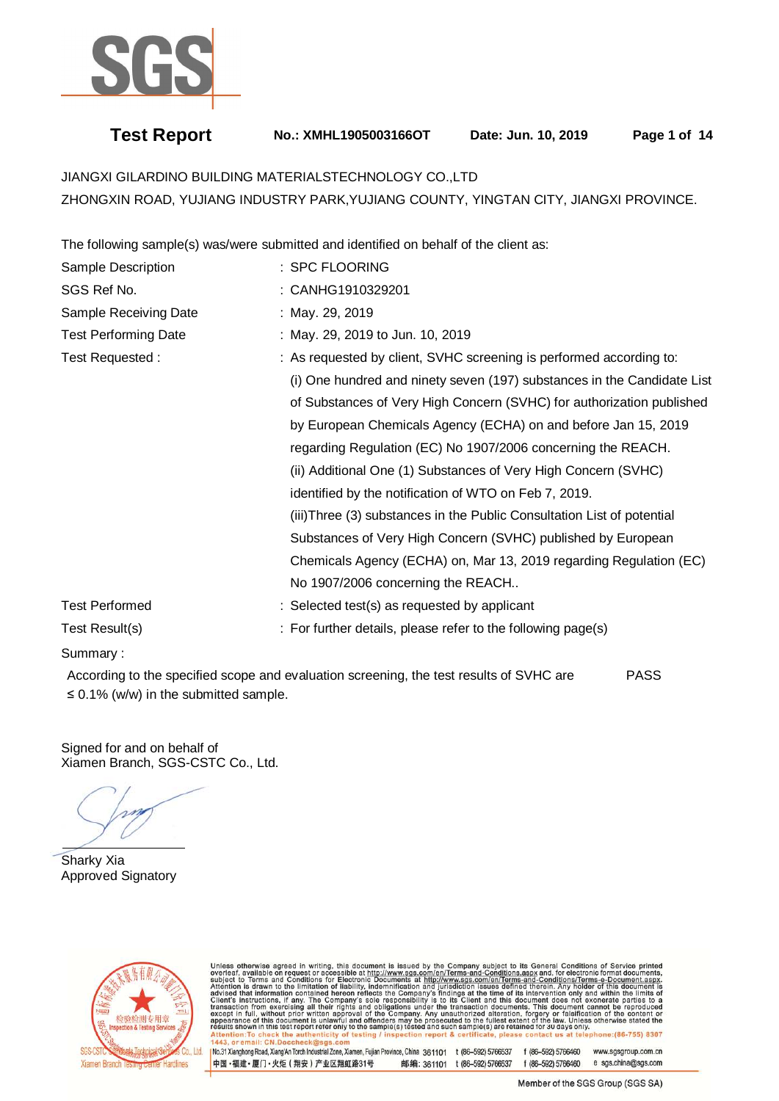

# **Test Report No.: XMHL1905003166OT Date: Jun. 10, 2019 Page 1 of 14**

JIANGXI GILARDINO BUILDING MATERIALSTECHNOLOGY CO.,LTD ZHONGXIN ROAD, YUJIANG INDUSTRY PARK,YUJIANG COUNTY, YINGTAN CITY, JIANGXI PROVINCE.

The following sample(s) was/were submitted and identified on behalf of the client as:

| Sample Description          | : SPC FLOORING                                                          |
|-----------------------------|-------------------------------------------------------------------------|
| SGS Ref No.                 | : CANHG1910329201                                                       |
| Sample Receiving Date       | : May. 29, 2019                                                         |
| <b>Test Performing Date</b> | : May. 29, 2019 to Jun. 10, 2019                                        |
| Test Requested:             | : As requested by client, SVHC screening is performed according to:     |
|                             | (i) One hundred and ninety seven (197) substances in the Candidate List |
|                             | of Substances of Very High Concern (SVHC) for authorization published   |
|                             | by European Chemicals Agency (ECHA) on and before Jan 15, 2019          |
|                             | regarding Regulation (EC) No 1907/2006 concerning the REACH.            |
|                             | (ii) Additional One (1) Substances of Very High Concern (SVHC)          |
|                             | identified by the notification of WTO on Feb 7, 2019.                   |
|                             | (iii) Three (3) substances in the Public Consultation List of potential |
|                             | Substances of Very High Concern (SVHC) published by European            |
|                             | Chemicals Agency (ECHA) on, Mar 13, 2019 regarding Regulation (EC)      |
|                             | No 1907/2006 concerning the REACH                                       |
| <b>Test Performed</b>       | : Selected test(s) as requested by applicant                            |
| Test Result(s)              | : For further details, please refer to the following page(s)            |

### Summary :

 According to the specified scope and evaluation screening, the test results of SVHC are PASS ≤ 0.1% (w/w) in the submitted sample.

Signed for and on behalf of Xiamen Branch, SGS-CSTC Co., Ltd.

Ė

Sharky Xia Approved Signatory



Unless otherwise agreed in writing, this document is issued by the Company subject to its General Conditions of Service printed overleaf, available on request or accessible at http://www.sgs.com/en/Terms-and-Conditions.as

No.31 Xianghong Road, Xiang/An Torch Industrial Zone, Xiamen, Fujian Province, China 361101 t (86-592) 5766537 f (86-592) 5766460 www.sasaroup.com.cn 中国·福建·厦门·火炬 (翔安) 产业区翔虹路31号 邮编: 361101 t (86-592) 5766537 f (86-592) 5766460 e sgs.china@sgs.com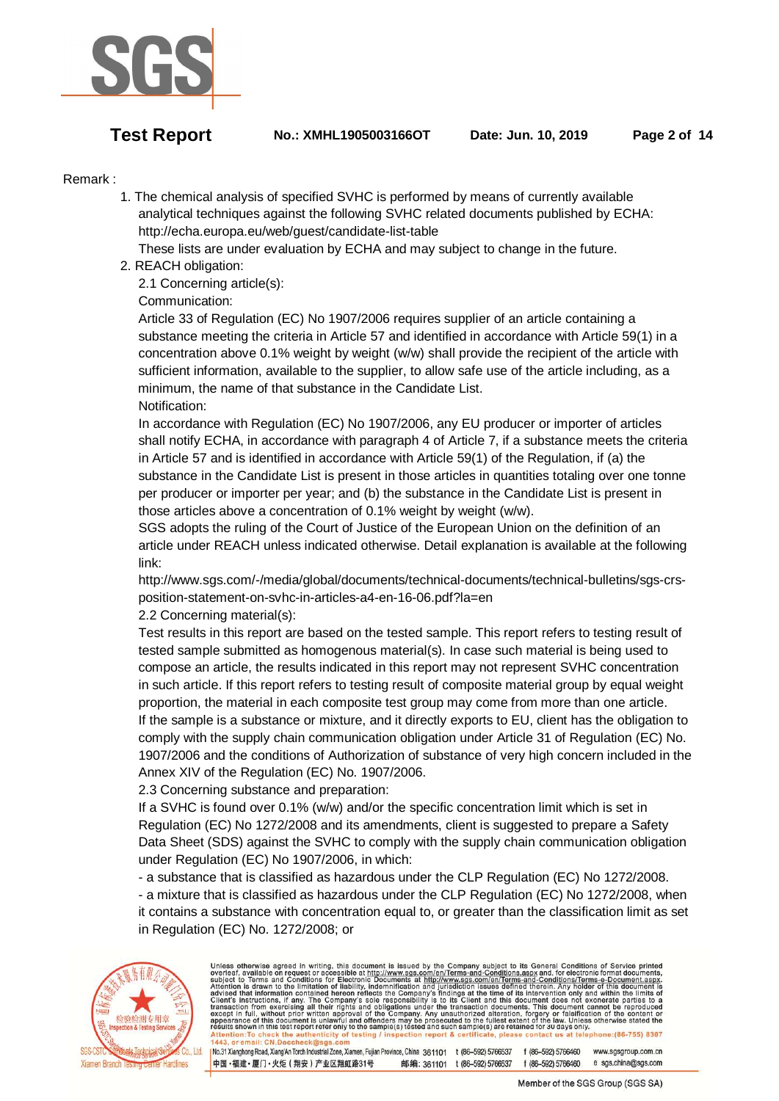

**Test Report No.: XMHL1905003166OT Date: Jun. 10, 2019 Page 2 of 14** 

## Remark :

 1. The chemical analysis of specified SVHC is performed by means of currently available analytical techniques against the following SVHC related documents published by ECHA: http://echa.europa.eu/web/guest/candidate-list-table

These lists are under evaluation by ECHA and may subject to change in the future.

2. REACH obligation:

2.1 Concerning article(s):

# Communication:

 Article 33 of Regulation (EC) No 1907/2006 requires supplier of an article containing a substance meeting the criteria in Article 57 and identified in accordance with Article 59(1) in a concentration above 0.1% weight by weight (w/w) shall provide the recipient of the article with sufficient information, available to the supplier, to allow safe use of the article including, as a minimum, the name of that substance in the Candidate List. Notification:

 In accordance with Regulation (EC) No 1907/2006, any EU producer or importer of articles shall notify ECHA, in accordance with paragraph 4 of Article 7, if a substance meets the criteria in Article 57 and is identified in accordance with Article 59(1) of the Regulation, if (a) the substance in the Candidate List is present in those articles in quantities totaling over one tonne per producer or importer per year; and (b) the substance in the Candidate List is present in those articles above a concentration of 0.1% weight by weight (w/w).

 SGS adopts the ruling of the Court of Justice of the European Union on the definition of an article under REACH unless indicated otherwise. Detail explanation is available at the following link:

 http://www.sgs.com/-/media/global/documents/technical-documents/technical-bulletins/sgs-crs position-statement-on-svhc-in-articles-a4-en-16-06.pdf?la=en

### 2.2 Concerning material(s):

 Test results in this report are based on the tested sample. This report refers to testing result of tested sample submitted as homogenous material(s). In case such material is being used to compose an article, the results indicated in this report may not represent SVHC concentration in such article. If this report refers to testing result of composite material group by equal weight proportion, the material in each composite test group may come from more than one article. If the sample is a substance or mixture, and it directly exports to EU, client has the obligation to comply with the supply chain communication obligation under Article 31 of Regulation (EC) No. 1907/2006 and the conditions of Authorization of substance of very high concern included in the Annex XIV of the Regulation (EC) No. 1907/2006.

2.3 Concerning substance and preparation:

 If a SVHC is found over 0.1% (w/w) and/or the specific concentration limit which is set in Regulation (EC) No 1272/2008 and its amendments, client is suggested to prepare a Safety Data Sheet (SDS) against the SVHC to comply with the supply chain communication obligation under Regulation (EC) No 1907/2006, in which:

- a substance that is classified as hazardous under the CLP Regulation (EC) No 1272/2008.

 - a mixture that is classified as hazardous under the CLP Regulation (EC) No 1272/2008, when it contains a substance with concentration equal to, or greater than the classification limit as set in Regulation (EC) No. 1272/2008; or



Unless otherwise agreed in writing, this document is issued by the Company subject to its General Conditions of Service printed<br>average and for request on accessible at http://www.sgs.com/en/Terms-and-Conditions.Text-man

No.31 Xianghong Road, Xiang'An Torch Industrial Zone, Xiamen, Fujian Province, China 361101 t (86-592) 5766537 f (86-592) 5766460 www.sasaroup.com.cn 中国·福建·厦门·火炬 (翔安) 产业区翔虹路31号 邮编: 361101 t (86-592) 5766537 f (86-592) 5766460 e sgs.china@sgs.com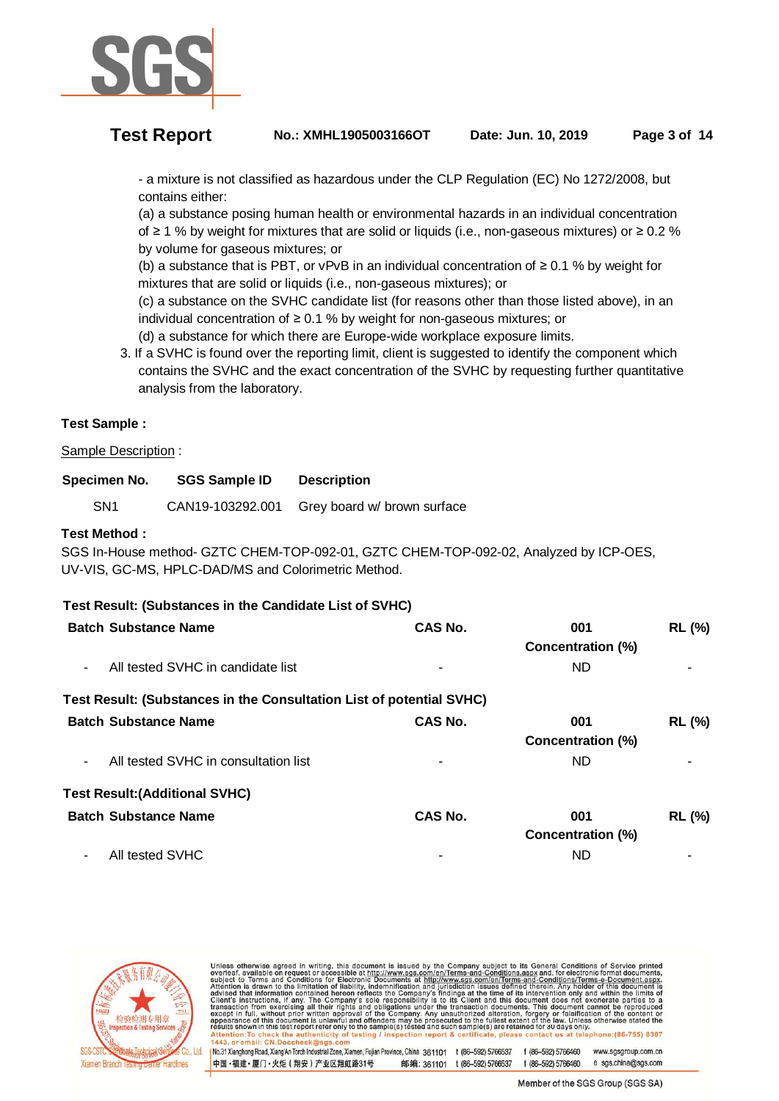

 - a mixture is not classified as hazardous under the CLP Regulation (EC) No 1272/2008, but contains either:

 (a) a substance posing human health or environmental hazards in an individual concentration of ≥ 1 % by weight for mixtures that are solid or liquids (i.e., non-gaseous mixtures) or ≥ 0.2 % by volume for gaseous mixtures; or

(b) a substance that is PBT, or vPvB in an individual concentration of  $\geq 0.1$  % by weight for mixtures that are solid or liquids (i.e., non-gaseous mixtures); or

 (c) a substance on the SVHC candidate list (for reasons other than those listed above), in an individual concentration of ≥ 0.1 % by weight for non-gaseous mixtures; or

(d) a substance for which there are Europe-wide workplace exposure limits.

 3. If a SVHC is found over the reporting limit, client is suggested to identify the component which contains the SVHC and the exact concentration of the SVHC by requesting further quantitative analysis from the laboratory.

# **Test Sample :**

Sample Description :

| Specimen No. | <b>SGS Sample ID</b> | <b>Description</b> |
|--------------|----------------------|--------------------|
|--------------|----------------------|--------------------|

SN1 CAN19-103292.001 Grey board w/ brown surface

### **Test Method :**

SGS In-House method- GZTC CHEM-TOP-092-01, GZTC CHEM-TOP-092-02, Analyzed by ICP-OES, UV-VIS, GC-MS, HPLC-DAD/MS and Colorimetric Method.

### **Test Result: (Substances in the Candidate List of SVHC)**

|                | <b>Batch Substance Name</b>                                          | <b>CAS No.</b> | 001<br>Concentration (%) | <b>RL (%)</b> |
|----------------|----------------------------------------------------------------------|----------------|--------------------------|---------------|
| $\blacksquare$ | All tested SVHC in candidate list                                    |                | ND.                      |               |
|                | Test Result: (Substances in the Consultation List of potential SVHC) |                |                          |               |
|                | <b>Batch Substance Name</b>                                          | <b>CAS No.</b> | 001                      | <b>RL (%)</b> |
|                |                                                                      |                | Concentration (%)        |               |
| $\blacksquare$ | All tested SVHC in consultation list                                 | ۰              | ND.                      |               |
|                | <b>Test Result: (Additional SVHC)</b>                                |                |                          |               |
|                | <b>Batch Substance Name</b>                                          | <b>CAS No.</b> | 001                      | <b>RL (%)</b> |
|                |                                                                      |                | Concentration (%)        |               |
|                | All tested SVHC                                                      | -              | ND                       |               |



Unless otherwise agreed in writing, this document is issued by the Company subject to its General Conditions of Service printed<br>average and for request on accessible at http://www.sgs.com/en/Terms-and-Conditions.Text-man No.31 Xianghong Road, Xiang'An Torch Industrial Zone, Xiamen, Fujian Province, China 361101 t (86-592) 5766537 f (86-592) 5766460 www.sasaroup.com.cn

中国·福建·厦门·火炬 (翔安) 产业区翔虹路31号 邮编: 361101 t (86-592) 5766537 f (86-592) 5766460 e sgs.china@sgs.com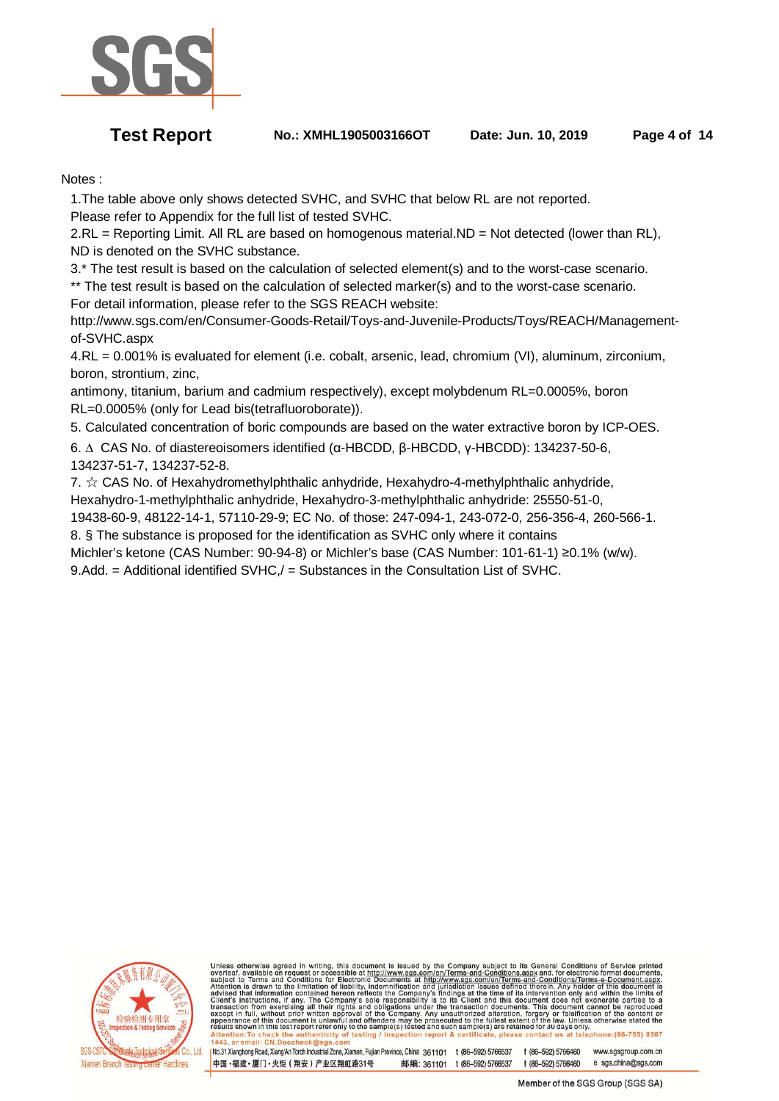

**Test Report No.: XMHL1905003166OT Date: Jun. 10, 2019 Page 4 of 14** 

Notes :

 1.The table above only shows detected SVHC, and SVHC that below RL are not reported. Please refer to Appendix for the full list of tested SVHC.

2.RL = Reporting Limit. All RL are based on homogenous material.ND = Not detected (lower than RL), ND is denoted on the SVHC substance.

3.\* The test result is based on the calculation of selected element(s) and to the worst-case scenario.

 \*\* The test result is based on the calculation of selected marker(s) and to the worst-case scenario. For detail information, please refer to the SGS REACH website:

 http://www.sgs.com/en/Consumer-Goods-Retail/Toys-and-Juvenile-Products/Toys/REACH/Management of-SVHC.aspx

 4.RL = 0.001% is evaluated for element (i.e. cobalt, arsenic, lead, chromium (VI), aluminum, zirconium, boron, strontium, zinc,

 antimony, titanium, barium and cadmium respectively), except molybdenum RL=0.0005%, boron RL=0.0005% (only for Lead bis(tetrafluoroborate)).

5. Calculated concentration of boric compounds are based on the water extractive boron by ICP-OES.

 6. ∆ CAS No. of diastereoisomers identified (α-HBCDD, β-HBCDD, γ-HBCDD): 134237-50-6, 134237-51-7, 134237-52-8.

7.  $\hat{\mathcal{R}}$  CAS No. of Hexahydromethylphthalic anhydride, Hexahydro-4-methylphthalic anhydride, Hexahydro-1-methylphthalic anhydride, Hexahydro-3-methylphthalic anhydride: 25550-51-0,

19438-60-9, 48122-14-1, 57110-29-9; EC No. of those: 247-094-1, 243-072-0, 256-356-4, 260-566-1.

 8. § The substance is proposed for the identification as SVHC only where it contains Michler's ketone (CAS Number: 90-94-8) or Michler's base (CAS Number: 101-61-1) ≥0.1% (w/w).

9.Add. = Additional identified SVHC,/ = Substances in the Consultation List of SVHC.



Unless otherwise agreed in writing, this document is issued by the Company subject to its General Conditions of Service printed subject to Terms and Conditions for Electronic Documents at the  $\frac{1}{2}$  subject to Terms an

No.31 Xianghong Road, Xiang'An Torch Industrial Zone, Xiamen, Fujian Province, China 361101 t (86-592) 5766537 f (86-592) 5766460 www.sasaroup.com.cn 中国·福建·厦门·火炬 (翔安) 产业区翔虹路31号 邮编: 361101 t (86-592) 5766537 f (86-592) 5766460 e sgs.china@sgs.com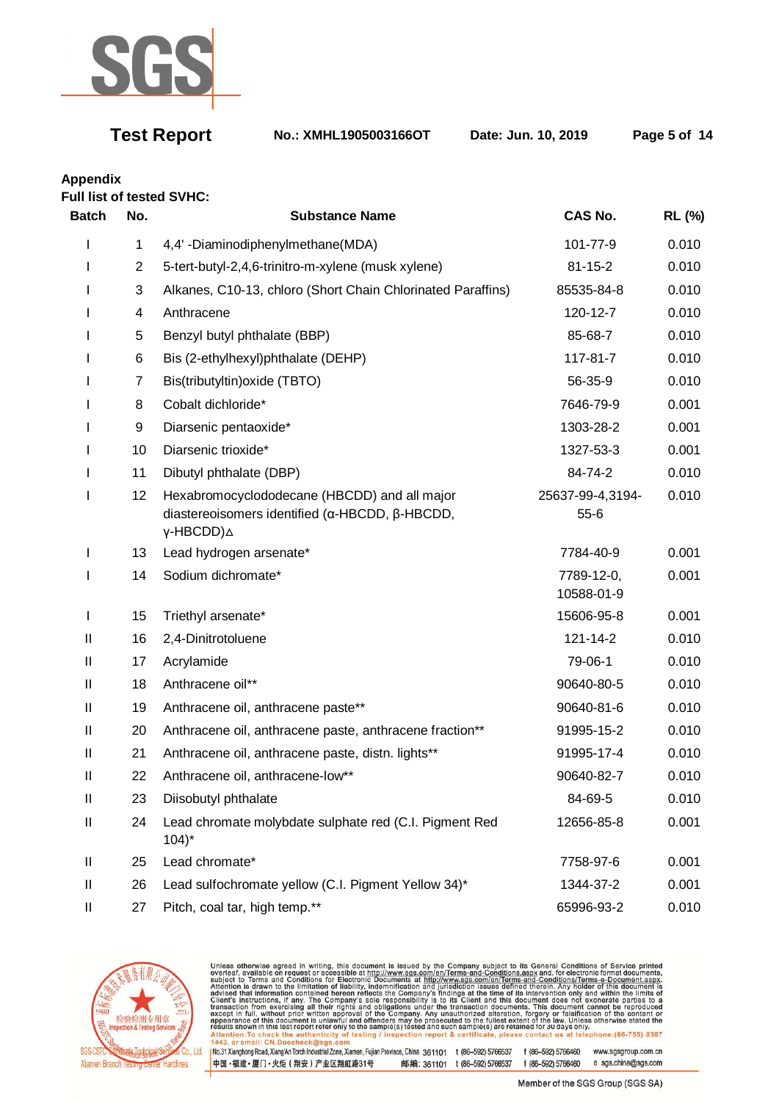

**Test Report No.: XMHL1905003166OT Date: Jun. 10, 2019 Page 5 of 14** 

**Appendix** 

**Full list of tested SVHC:** 

| <b>Batch</b> | No.            | <b>Substance Name</b>                                                                                                          | <b>CAS No.</b>             | RL (%) |
|--------------|----------------|--------------------------------------------------------------------------------------------------------------------------------|----------------------------|--------|
|              | 1              | 4,4' -Diaminodiphenylmethane(MDA)                                                                                              | 101-77-9                   | 0.010  |
|              | $\overline{2}$ | 5-tert-butyl-2,4,6-trinitro-m-xylene (musk xylene)                                                                             | $81 - 15 - 2$              | 0.010  |
|              | 3              | Alkanes, C10-13, chloro (Short Chain Chlorinated Paraffins)                                                                    | 85535-84-8                 | 0.010  |
|              | 4              | Anthracene                                                                                                                     | 120-12-7                   | 0.010  |
|              | 5              | Benzyl butyl phthalate (BBP)                                                                                                   | 85-68-7                    | 0.010  |
|              | 6              | Bis (2-ethylhexyl)phthalate (DEHP)                                                                                             | 117-81-7                   | 0.010  |
|              | 7              | Bis(tributyltin) oxide (TBTO)                                                                                                  | 56-35-9                    | 0.010  |
|              | 8              | Cobalt dichloride*                                                                                                             | 7646-79-9                  | 0.001  |
|              | 9              | Diarsenic pentaoxide*                                                                                                          | 1303-28-2                  | 0.001  |
|              | 10             | Diarsenic trioxide*                                                                                                            | 1327-53-3                  | 0.001  |
|              | 11             | Dibutyl phthalate (DBP)                                                                                                        | 84-74-2                    | 0.010  |
|              | 12             | Hexabromocyclododecane (HBCDD) and all major<br>diastereoisomers identified (α-HBCDD, β-HBCDD,<br>$\gamma$ -HBCDD) $\triangle$ | 25637-99-4,3194-<br>$55-6$ | 0.010  |
| I            | 13             | Lead hydrogen arsenate*                                                                                                        | 7784-40-9                  | 0.001  |
|              | 14             | Sodium dichromate*                                                                                                             | 7789-12-0,<br>10588-01-9   | 0.001  |
| L            | 15             | Triethyl arsenate*                                                                                                             | 15606-95-8                 | 0.001  |
| Ш            | 16             | 2,4-Dinitrotoluene                                                                                                             | 121-14-2                   | 0.010  |
| Ш            | 17             | Acrylamide                                                                                                                     | 79-06-1                    | 0.010  |
| Ш            | 18             | Anthracene oil**                                                                                                               | 90640-80-5                 | 0.010  |
| Ш            | 19             | Anthracene oil, anthracene paste**                                                                                             | 90640-81-6                 | 0.010  |
| Ш            | 20             | Anthracene oil, anthracene paste, anthracene fraction**                                                                        | 91995-15-2                 | 0.010  |
| Ш            | 21             | Anthracene oil, anthracene paste, distn. lights**                                                                              | 91995-17-4                 | 0.010  |
| Ш            | 22             | Anthracene oil, anthracene-low**                                                                                               | 90640-82-7                 | 0.010  |
| Ш            | 23             | Diisobutyl phthalate                                                                                                           | 84-69-5                    | 0.010  |
| Ш            | 24             | Lead chromate molybdate sulphate red (C.I. Pigment Red<br>$104$ <sup>*</sup>                                                   | 12656-85-8                 | 0.001  |
| Ш            | 25             | Lead chromate*                                                                                                                 | 7758-97-6                  | 0.001  |
| Ш            | 26             | Lead sulfochromate yellow (C.I. Pigment Yellow 34)*                                                                            | 1344-37-2                  | 0.001  |
| Ш            | 27             | Pitch, coal tar, high temp.**                                                                                                  | 65996-93-2                 | 0.010  |



Unless otherwise agreed in writing, this document is issued by the Company subject to its General Conditions of Service printed<br>overleaf, available on request or accessible at http://www.sgs.com/en/Terms-and-Conditions.asp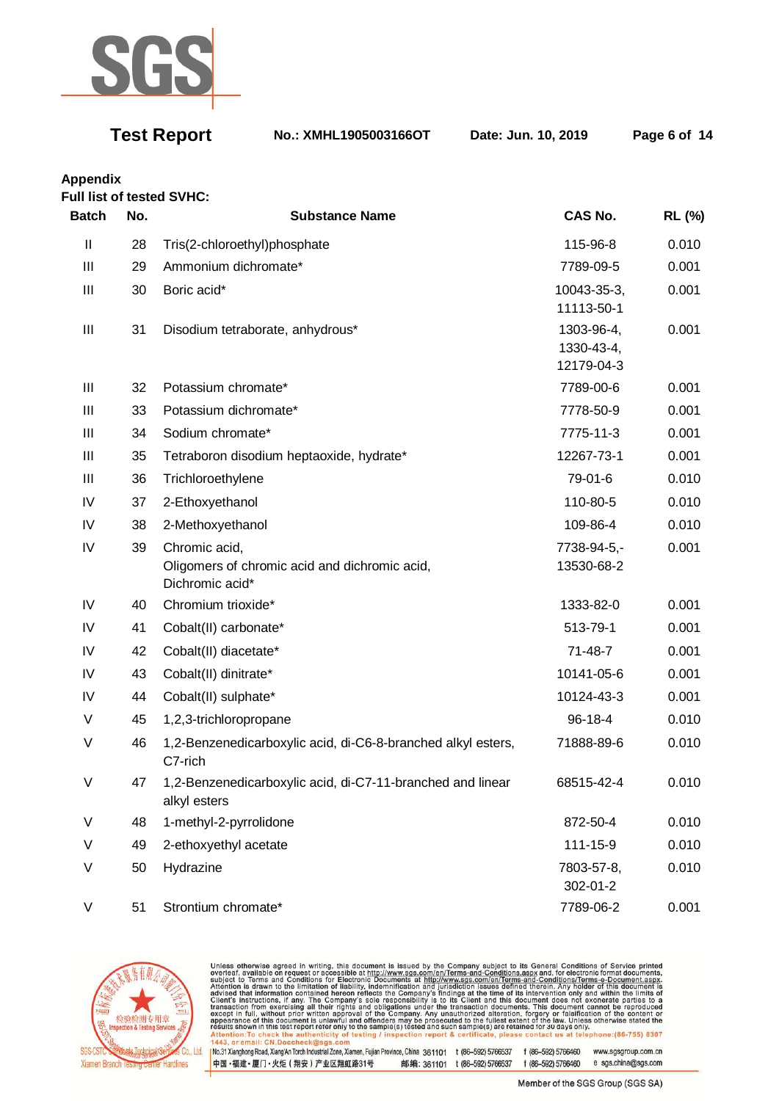

**Test Report No.: XMHL1905003166OT Date: Jun. 10, 2019 Page 6 of 14** 

# **Appendix**

**Full list of tested SVHC:** 

| <b>Batch</b>  | No. | <b>Substance Name</b>                                                             | <b>CAS No.</b>                         | <b>RL (%)</b> |
|---------------|-----|-----------------------------------------------------------------------------------|----------------------------------------|---------------|
| $\mathbf{II}$ | 28  | Tris(2-chloroethyl)phosphate                                                      | 115-96-8                               | 0.010         |
| Ш             | 29  | Ammonium dichromate*                                                              | 7789-09-5                              | 0.001         |
| Ш             | 30  | Boric acid*                                                                       | 10043-35-3,<br>11113-50-1              | 0.001         |
| Ш             | 31  | Disodium tetraborate, anhydrous*                                                  | 1303-96-4,<br>1330-43-4,<br>12179-04-3 | 0.001         |
| Ш             | 32  | Potassium chromate*                                                               | 7789-00-6                              | 0.001         |
| Ш             | 33  | Potassium dichromate*                                                             | 7778-50-9                              | 0.001         |
| Ш             | 34  | Sodium chromate*                                                                  | 7775-11-3                              | 0.001         |
| Ш             | 35  | Tetraboron disodium heptaoxide, hydrate*                                          | 12267-73-1                             | 0.001         |
| Ш             | 36  | Trichloroethylene                                                                 | 79-01-6                                | 0.010         |
| IV            | 37  | 2-Ethoxyethanol                                                                   | 110-80-5                               | 0.010         |
| IV            | 38  | 2-Methoxyethanol                                                                  | 109-86-4                               | 0.010         |
| IV            | 39  | Chromic acid,<br>Oligomers of chromic acid and dichromic acid,<br>Dichromic acid* | 7738-94-5,-<br>13530-68-2              | 0.001         |
| IV            | 40  | Chromium trioxide*                                                                | 1333-82-0                              | 0.001         |
| IV            | 41  | Cobalt(II) carbonate*                                                             | 513-79-1                               | 0.001         |
| IV            | 42  | Cobalt(II) diacetate*                                                             | 71-48-7                                | 0.001         |
| IV            | 43  | Cobalt(II) dinitrate*                                                             | 10141-05-6                             | 0.001         |
| IV            | 44  | Cobalt(II) sulphate*                                                              | 10124-43-3                             | 0.001         |
| $\vee$        | 45  | 1,2,3-trichloropropane                                                            | $96 - 18 - 4$                          | 0.010         |
| $\vee$        | 46  | 1,2-Benzenedicarboxylic acid, di-C6-8-branched alkyl esters,<br>C7-rich           | 71888-89-6                             | 0.010         |
| $\vee$        | 47  | 1,2-Benzenedicarboxylic acid, di-C7-11-branched and linear<br>alkyl esters        | 68515-42-4                             | 0.010         |
| $\vee$        | 48  | 1-methyl-2-pyrrolidone                                                            | 872-50-4                               | 0.010         |
| $\vee$        | 49  | 2-ethoxyethyl acetate                                                             | 111-15-9                               | 0.010         |
| V             | 50  | Hydrazine                                                                         | 7803-57-8,<br>302-01-2                 | 0.010         |
| V             | 51  | Strontium chromate*                                                               | 7789-06-2                              | 0.001         |



Unless otherwise agreed in writing, this document is issued by the Company subject to its General Conditions of Service printed<br>overleaf, available on request or accessible at http://www.sgs.com/en/Terms-and-Conditions.asp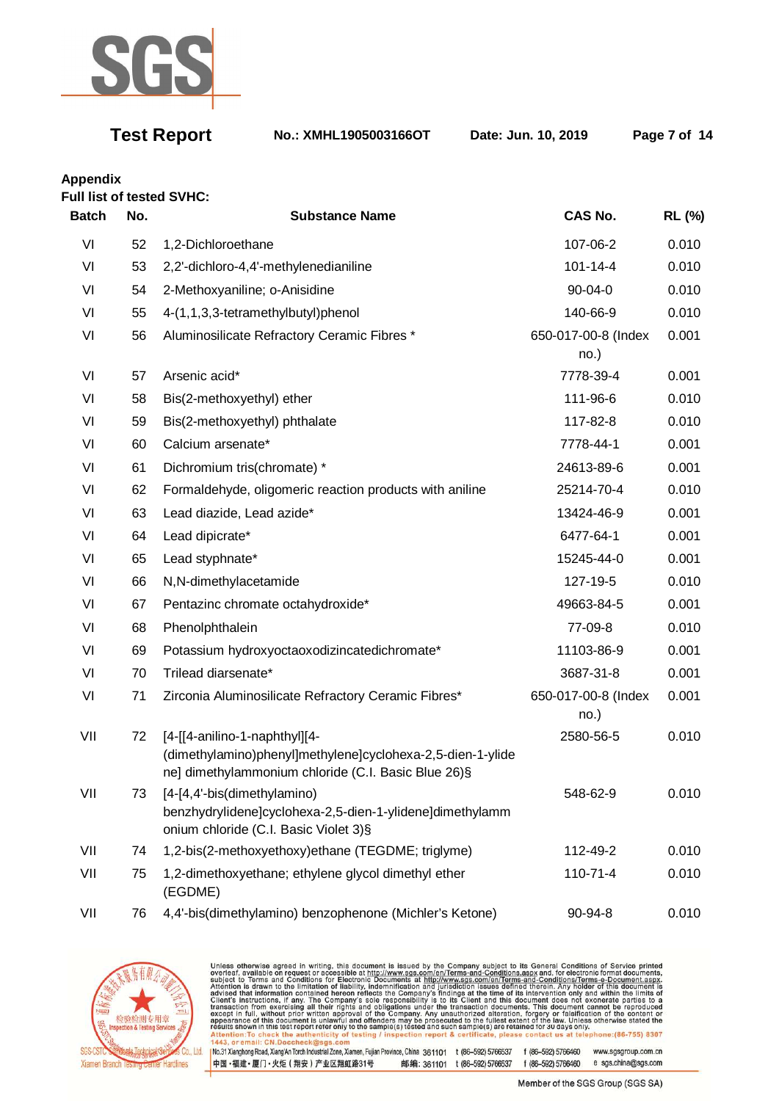

**Test Report No.: XMHL1905003166OT Date: Jun. 10, 2019 Page 7 of 14** 

**Appendix** 

| <b>Batch</b> | No. | <b>Substance Name</b>                                                                                                                              | <b>CAS No.</b>              | <b>RL (%)</b> |
|--------------|-----|----------------------------------------------------------------------------------------------------------------------------------------------------|-----------------------------|---------------|
| VI           | 52  | 1,2-Dichloroethane                                                                                                                                 | 107-06-2                    | 0.010         |
| VI           | 53  | 2,2'-dichloro-4,4'-methylenedianiline                                                                                                              | $101 - 14 - 4$              | 0.010         |
| VI           | 54  | 2-Methoxyaniline; o-Anisidine                                                                                                                      | $90 - 04 - 0$               | 0.010         |
| VI           | 55  | 4-(1,1,3,3-tetramethylbutyl)phenol                                                                                                                 | 140-66-9                    | 0.010         |
| VI           | 56  | Aluminosilicate Refractory Ceramic Fibres *                                                                                                        | 650-017-00-8 (Index         | 0.001         |
|              |     |                                                                                                                                                    | no.)                        |               |
| VI           | 57  | Arsenic acid*                                                                                                                                      | 7778-39-4                   | 0.001         |
| VI           | 58  | Bis(2-methoxyethyl) ether                                                                                                                          | 111-96-6                    | 0.010         |
| VI           | 59  | Bis(2-methoxyethyl) phthalate                                                                                                                      | 117-82-8                    | 0.010         |
| VI           | 60  | Calcium arsenate*                                                                                                                                  | 7778-44-1                   | 0.001         |
| VI           | 61  | Dichromium tris(chromate) *                                                                                                                        | 24613-89-6                  | 0.001         |
| VI           | 62  | Formaldehyde, oligomeric reaction products with aniline                                                                                            | 25214-70-4                  | 0.010         |
| VI           | 63  | Lead diazide, Lead azide*                                                                                                                          | 13424-46-9                  | 0.001         |
| VI           | 64  | Lead dipicrate*                                                                                                                                    | 6477-64-1                   | 0.001         |
| VI           | 65  | Lead styphnate*                                                                                                                                    | 15245-44-0                  | 0.001         |
| VI           | 66  | N,N-dimethylacetamide                                                                                                                              | 127-19-5                    | 0.010         |
| VI           | 67  | Pentazinc chromate octahydroxide*                                                                                                                  | 49663-84-5                  | 0.001         |
| VI           | 68  | Phenolphthalein                                                                                                                                    | 77-09-8                     | 0.010         |
| VI           | 69  | Potassium hydroxyoctaoxodizincatedichromate*                                                                                                       | 11103-86-9                  | 0.001         |
| VI           | 70  | Trilead diarsenate*                                                                                                                                | 3687-31-8                   | 0.001         |
| VI           | 71  | Zirconia Aluminosilicate Refractory Ceramic Fibres*                                                                                                | 650-017-00-8 (Index<br>no.) | 0.001         |
| VII          | 72  | [4-[[4-anilino-1-naphthyl][4-<br>(dimethylamino)phenyl]methylene]cyclohexa-2,5-dien-1-ylide<br>ne] dimethylammonium chloride (C.I. Basic Blue 26)§ | 2580-56-5                   | 0.010         |
| VII          | 73  | [4-[4,4'-bis(dimethylamino)<br>benzhydrylidene]cyclohexa-2,5-dien-1-ylidene]dimethylamm<br>onium chloride (C.I. Basic Violet 3)§                   | 548-62-9                    | 0.010         |
| VII          | 74  | 1,2-bis(2-methoxyethoxy)ethane (TEGDME; triglyme)                                                                                                  | 112-49-2                    | 0.010         |
| VII          | 75  | 1,2-dimethoxyethane; ethylene glycol dimethyl ether<br>(EGDME)                                                                                     | 110-71-4                    | 0.010         |
| VII          | 76  | 4,4'-bis(dimethylamino) benzophenone (Michler's Ketone)                                                                                            | 90-94-8                     | 0.010         |



Unless otherwise agreed in writing, this document is issued by the Company subject to its General Conditions of Service printed<br>overleaf, available on request or accessible at http://www.sgs.com/en/Terms-and-Conditions.asp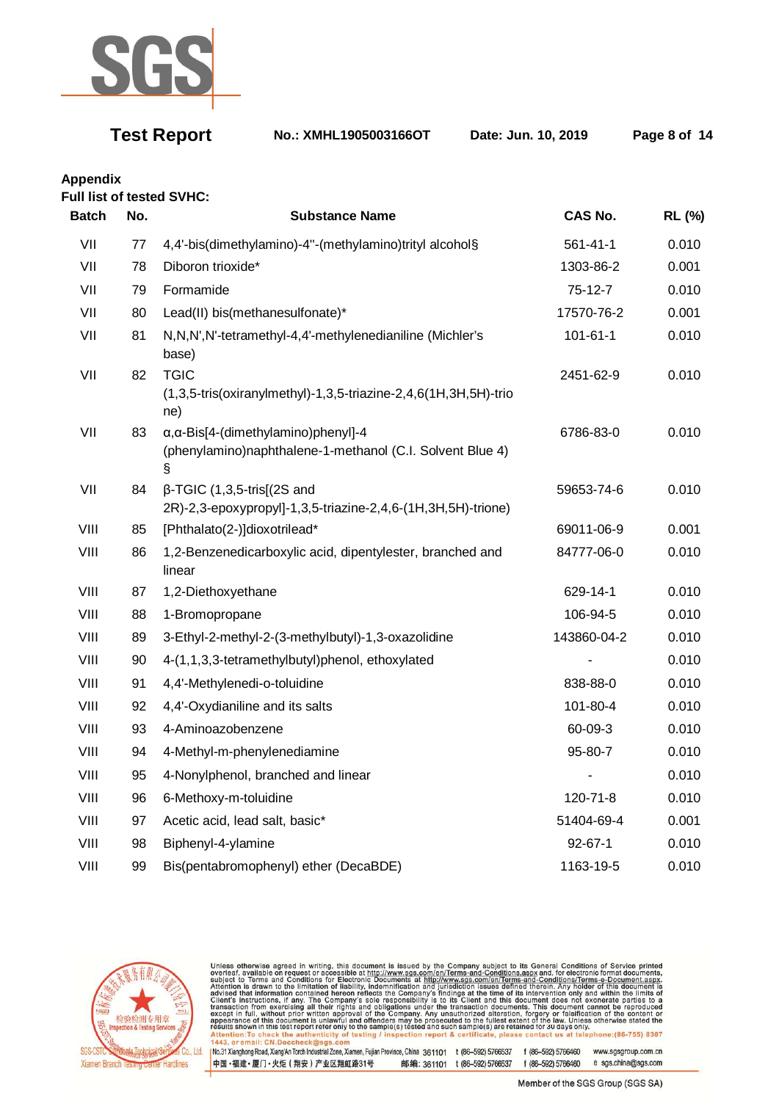

**Test Report No.: XMHL1905003166OT Date: Jun. 10, 2019 Page 8 of 14** 

**Appendix** 

### **Full list of tested SVHC:**

| <b>Batch</b> | No. | <b>Substance Name</b>                                                                                                 | CAS No.        | RL (%) |
|--------------|-----|-----------------------------------------------------------------------------------------------------------------------|----------------|--------|
| VII          | 77  | 4,4'-bis(dimethylamino)-4"-(methylamino)trityl alcohol§                                                               | $561 - 41 - 1$ | 0.010  |
| VII          | 78  | Diboron trioxide*                                                                                                     | 1303-86-2      | 0.001  |
| VII          | 79  | Formamide                                                                                                             | $75-12-7$      | 0.010  |
| VII          | 80  | Lead(II) bis(methanesulfonate)*                                                                                       | 17570-76-2     | 0.001  |
| VII          | 81  | N,N,N',N'-tetramethyl-4,4'-methylenedianiline (Michler's<br>base)                                                     | $101 - 61 - 1$ | 0.010  |
| VII          | 82  | <b>TGIC</b><br>(1,3,5-tris(oxiranylmethyl)-1,3,5-triazine-2,4,6(1H,3H,5H)-trio<br>ne)                                 | 2451-62-9      | 0.010  |
| VII          | 83  | $\alpha$ , $\alpha$ -Bis[4-(dimethylamino)phenyl]-4<br>(phenylamino)naphthalene-1-methanol (C.I. Solvent Blue 4)<br>§ | 6786-83-0      | 0.010  |
| VII          | 84  | $\beta$ -TGIC (1,3,5-tris[(2S and<br>2R)-2,3-epoxypropyl]-1,3,5-triazine-2,4,6-(1H,3H,5H)-trione)                     | 59653-74-6     | 0.010  |
| VIII         | 85  | [Phthalato(2-)]dioxotrilead*                                                                                          | 69011-06-9     | 0.001  |
| VIII         | 86  | 1,2-Benzenedicarboxylic acid, dipentylester, branched and<br>linear                                                   | 84777-06-0     | 0.010  |
| VIII         | 87  | 1,2-Diethoxyethane                                                                                                    | 629-14-1       | 0.010  |
| VIII         | 88  | 1-Bromopropane                                                                                                        | 106-94-5       | 0.010  |
| VIII         | 89  | 3-Ethyl-2-methyl-2-(3-methylbutyl)-1,3-oxazolidine                                                                    | 143860-04-2    | 0.010  |
| VIII         | 90  | 4-(1,1,3,3-tetramethylbutyl)phenol, ethoxylated                                                                       |                | 0.010  |
| VIII         | 91  | 4,4'-Methylenedi-o-toluidine                                                                                          | 838-88-0       | 0.010  |
| VIII         | 92  | 4,4'-Oxydianiline and its salts                                                                                       | 101-80-4       | 0.010  |
| VIII         | 93  | 4-Aminoazobenzene                                                                                                     | 60-09-3        | 0.010  |
| VIII         | 94  | 4-Methyl-m-phenylenediamine                                                                                           | 95-80-7        | 0.010  |
| VIII         | 95  | 4-Nonylphenol, branched and linear                                                                                    |                | 0.010  |
| VIII         | 96  | 6-Methoxy-m-toluidine                                                                                                 | 120-71-8       | 0.010  |
| VIII         | 97  | Acetic acid, lead salt, basic*                                                                                        | 51404-69-4     | 0.001  |
| VIII         | 98  | Biphenyl-4-ylamine                                                                                                    | $92 - 67 - 1$  | 0.010  |
| VIII         | 99  | Bis(pentabromophenyl) ether (DecaBDE)                                                                                 | 1163-19-5      | 0.010  |



Unless otherwise agreed in writing, this document is issued by the Company subject to its General Conditions of Service printed<br>overleaf, available on request or accessible at http://www.sgs.com/en/Terms-and-Conditions.asp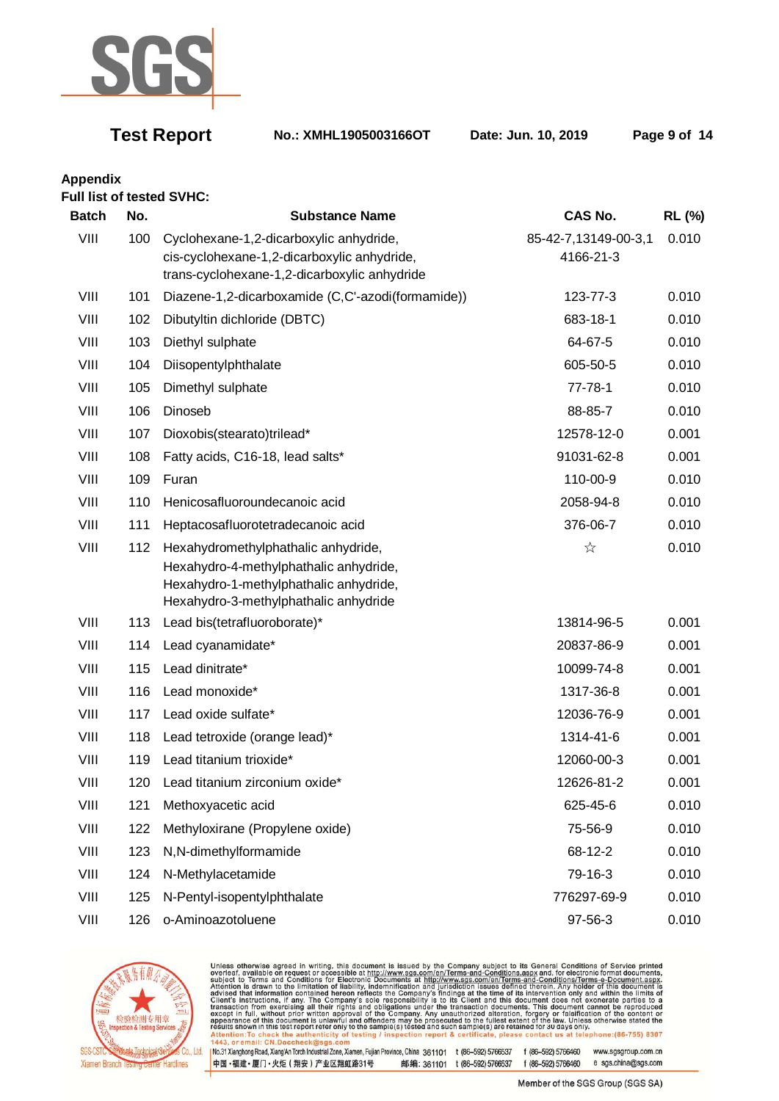

**Test Report No.: XMHL1905003166OT Date: Jun. 10, 2019 Page 9 of 14** 

# **Appendix**

|              |     | <b>Full list of tested SVHC:</b>                                                                                                                                 |                                   |               |
|--------------|-----|------------------------------------------------------------------------------------------------------------------------------------------------------------------|-----------------------------------|---------------|
| <b>Batch</b> | No. | <b>Substance Name</b>                                                                                                                                            | CAS No.                           | <b>RL (%)</b> |
| VIII         | 100 | Cyclohexane-1,2-dicarboxylic anhydride,<br>cis-cyclohexane-1,2-dicarboxylic anhydride,<br>trans-cyclohexane-1,2-dicarboxylic anhydride                           | 85-42-7,13149-00-3,1<br>4166-21-3 | 0.010         |
| VIII         | 101 | Diazene-1,2-dicarboxamide (C,C'-azodi(formamide))                                                                                                                | 123-77-3                          | 0.010         |
| VIII         | 102 | Dibutyltin dichloride (DBTC)                                                                                                                                     | 683-18-1                          | 0.010         |
| VIII         | 103 | Diethyl sulphate                                                                                                                                                 | 64-67-5                           | 0.010         |
| VIII         | 104 | Diisopentylphthalate                                                                                                                                             | 605-50-5                          | 0.010         |
| VIII         | 105 | Dimethyl sulphate                                                                                                                                                | $77 - 78 - 1$                     | 0.010         |
| VIII         | 106 | Dinoseb                                                                                                                                                          | 88-85-7                           | 0.010         |
| VIII         | 107 | Dioxobis(stearato)trilead*                                                                                                                                       | 12578-12-0                        | 0.001         |
| VIII         | 108 | Fatty acids, C16-18, lead salts*                                                                                                                                 | 91031-62-8                        | 0.001         |
| VIII         | 109 | Furan                                                                                                                                                            | 110-00-9                          | 0.010         |
| VIII         | 110 | Henicosafluoroundecanoic acid                                                                                                                                    | 2058-94-8                         | 0.010         |
| VIII         | 111 | Heptacosafluorotetradecanoic acid                                                                                                                                | 376-06-7                          | 0.010         |
| VIII         | 112 | Hexahydromethylphathalic anhydride,<br>Hexahydro-4-methylphathalic anhydride,<br>Hexahydro-1-methylphathalic anhydride,<br>Hexahydro-3-methylphathalic anhydride | ☆                                 | 0.010         |
| VIII         | 113 | Lead bis(tetrafluoroborate)*                                                                                                                                     | 13814-96-5                        | 0.001         |
| VIII         | 114 | Lead cyanamidate*                                                                                                                                                | 20837-86-9                        | 0.001         |
| VIII         | 115 | Lead dinitrate*                                                                                                                                                  | 10099-74-8                        | 0.001         |
| VIII         | 116 | Lead monoxide*                                                                                                                                                   | 1317-36-8                         | 0.001         |
| VIII         | 117 | Lead oxide sulfate*                                                                                                                                              | 12036-76-9                        | 0.001         |
| VIII         | 118 | Lead tetroxide (orange lead)*                                                                                                                                    | 1314-41-6                         | 0.001         |
| VIII         | 119 | Lead titanium trioxide*                                                                                                                                          | 12060-00-3                        | 0.001         |
| VIII         | 120 | Lead titanium zirconium oxide*                                                                                                                                   | 12626-81-2                        | 0.001         |
| VIII         | 121 | Methoxyacetic acid                                                                                                                                               | 625-45-6                          | 0.010         |
| VIII         | 122 | Methyloxirane (Propylene oxide)                                                                                                                                  | 75-56-9                           | 0.010         |
| VIII         | 123 | N,N-dimethylformamide                                                                                                                                            | 68-12-2                           | 0.010         |
| VIII         | 124 | N-Methylacetamide                                                                                                                                                | 79-16-3                           | 0.010         |
| VIII         | 125 | N-Pentyl-isopentylphthalate                                                                                                                                      | 776297-69-9                       | 0.010         |
| VIII         |     | 126 o-Aminoazotoluene                                                                                                                                            | 97-56-3                           | 0.010         |



Unless otherwise agreed in writing, this document is issued by the Company subject to its General Conditions of Service printed<br>overleaf, available on request or accessible at http://www.sgs.com/en/Terms-and-Conditions.asp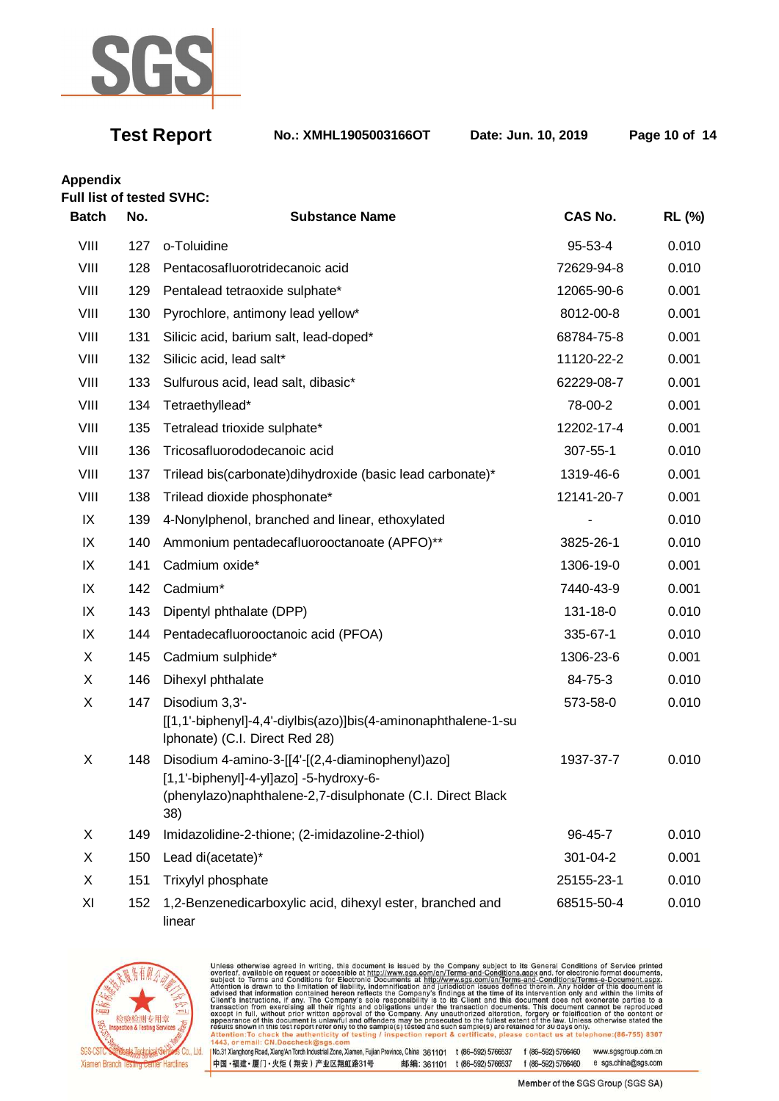

**Test Report No.: XMHL1905003166OT Date: Jun. 10, 2019 Page 10 of 14** 

**Appendix** 

| <b>Full list of tested SVHC:</b><br><b>Batch</b> | No. | <b>Substance Name</b>                                                                                                                                              | CAS No.    | <b>RL (%)</b> |
|--------------------------------------------------|-----|--------------------------------------------------------------------------------------------------------------------------------------------------------------------|------------|---------------|
| VIII                                             | 127 | o-Toluidine                                                                                                                                                        | 95-53-4    | 0.010         |
| VIII                                             | 128 | Pentacosafluorotridecanoic acid                                                                                                                                    | 72629-94-8 | 0.010         |
| VIII                                             | 129 | Pentalead tetraoxide sulphate*                                                                                                                                     | 12065-90-6 | 0.001         |
| VIII                                             | 130 | Pyrochlore, antimony lead yellow*                                                                                                                                  | 8012-00-8  | 0.001         |
| VIII                                             | 131 | Silicic acid, barium salt, lead-doped*                                                                                                                             | 68784-75-8 | 0.001         |
| VIII                                             | 132 | Silicic acid, lead salt*                                                                                                                                           | 11120-22-2 | 0.001         |
| VIII                                             | 133 | Sulfurous acid, lead salt, dibasic*                                                                                                                                | 62229-08-7 | 0.001         |
| VIII                                             | 134 | Tetraethyllead*                                                                                                                                                    | 78-00-2    | 0.001         |
| VIII                                             | 135 | Tetralead trioxide sulphate*                                                                                                                                       | 12202-17-4 | 0.001         |
| VIII                                             | 136 | Tricosafluorododecanoic acid                                                                                                                                       | 307-55-1   | 0.010         |
| VIII                                             | 137 | Trilead bis(carbonate)dihydroxide (basic lead carbonate)*                                                                                                          | 1319-46-6  | 0.001         |
| VIII                                             | 138 | Trilead dioxide phosphonate*                                                                                                                                       | 12141-20-7 | 0.001         |
| IX                                               | 139 | 4-Nonylphenol, branched and linear, ethoxylated                                                                                                                    |            | 0.010         |
| IX                                               | 140 | Ammonium pentadecafluorooctanoate (APFO)**                                                                                                                         | 3825-26-1  | 0.010         |
| IX                                               | 141 | Cadmium oxide*                                                                                                                                                     | 1306-19-0  | 0.001         |
| IX                                               | 142 | Cadmium*                                                                                                                                                           | 7440-43-9  | 0.001         |
| IX                                               | 143 | Dipentyl phthalate (DPP)                                                                                                                                           | 131-18-0   | 0.010         |
| IX                                               | 144 | Pentadecafluorooctanoic acid (PFOA)                                                                                                                                | 335-67-1   | 0.010         |
| X                                                | 145 | Cadmium sulphide*                                                                                                                                                  | 1306-23-6  | 0.001         |
| X                                                | 146 | Dihexyl phthalate                                                                                                                                                  | 84-75-3    | 0.010         |
| X                                                | 147 | Disodium 3,3'-<br>[[1,1'-biphenyl]-4,4'-diylbis(azo)]bis(4-aminonaphthalene-1-su<br>Iphonate) (C.I. Direct Red 28)                                                 | 573-58-0   | 0.010         |
| X                                                | 148 | Disodium 4-amino-3-[[4'-[(2,4-diaminophenyl)azo]<br>$[1,1'-biphenyl]-4-yl]azo] -5-hydroxy-6-$<br>(phenylazo)naphthalene-2,7-disulphonate (C.I. Direct Black<br>38) | 1937-37-7  | 0.010         |
| X                                                | 149 | Imidazolidine-2-thione; (2-imidazoline-2-thiol)                                                                                                                    | 96-45-7    | 0.010         |
| X                                                | 150 | Lead di(acetate)*                                                                                                                                                  | 301-04-2   | 0.001         |
| X                                                | 151 | Trixylyl phosphate                                                                                                                                                 | 25155-23-1 | 0.010         |
| XI                                               | 152 | 1,2-Benzenedicarboxylic acid, dihexyl ester, branched and<br>linear                                                                                                | 68515-50-4 | 0.010         |



Unless otherwise agreed in writing, this document is issued by the Company subject to its General Conditions of Service printed<br>overleaf, available on request or accessible at http://www.sgs.com/en/Terms-and-Conditions.asp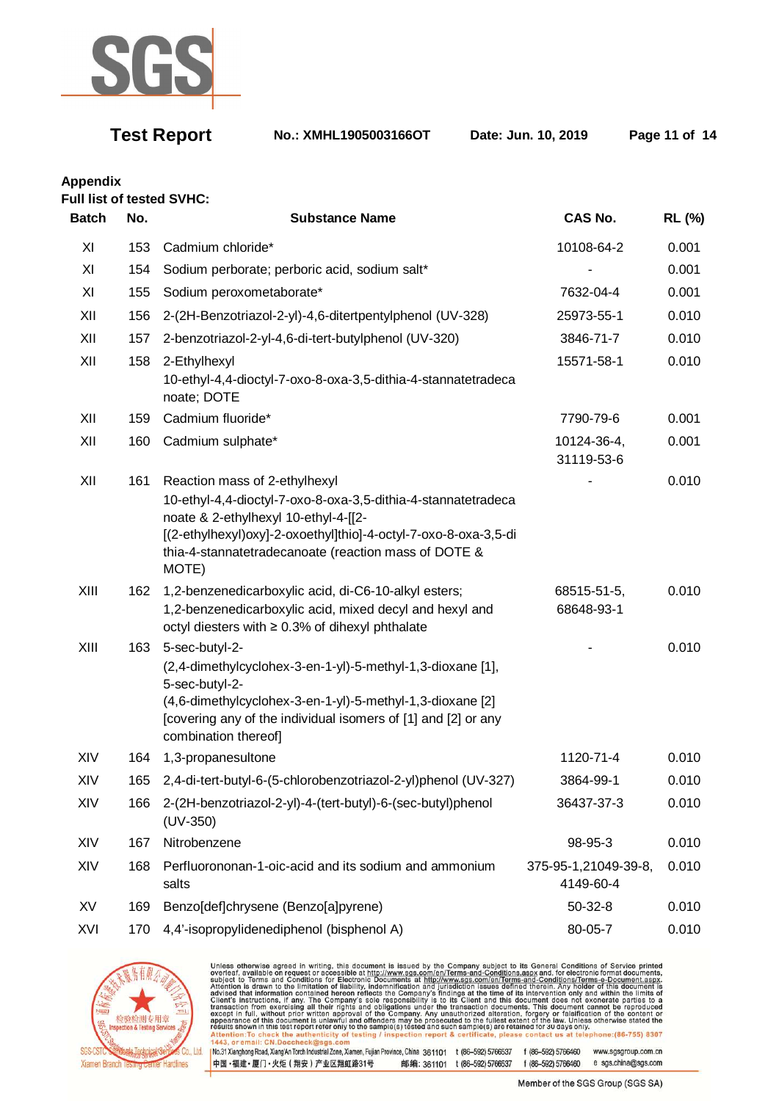

**Test Report No.: XMHL1905003166OT Date: Jun. 10, 2019 Page 11 of 14** 

**Appendix** 

**Full list of tested SVHC:** 

| <b>Batch</b> | No. | <b>Substance Name</b>                                                                                                                                                                                                                                                      | <b>CAS No.</b>                    | <b>RL (%)</b> |
|--------------|-----|----------------------------------------------------------------------------------------------------------------------------------------------------------------------------------------------------------------------------------------------------------------------------|-----------------------------------|---------------|
| XI           | 153 | Cadmium chloride*                                                                                                                                                                                                                                                          | 10108-64-2                        | 0.001         |
| XI           | 154 | Sodium perborate; perboric acid, sodium salt*                                                                                                                                                                                                                              |                                   | 0.001         |
| XI           | 155 | Sodium peroxometaborate*                                                                                                                                                                                                                                                   | 7632-04-4                         | 0.001         |
| XII          | 156 | 2-(2H-Benzotriazol-2-yl)-4,6-ditertpentylphenol (UV-328)                                                                                                                                                                                                                   | 25973-55-1                        | 0.010         |
| XII          | 157 | 2-benzotriazol-2-yl-4,6-di-tert-butylphenol (UV-320)                                                                                                                                                                                                                       | 3846-71-7                         | 0.010         |
| XII          | 158 | 2-Ethylhexyl<br>10-ethyl-4,4-dioctyl-7-oxo-8-oxa-3,5-dithia-4-stannatetradeca<br>noate; DOTE                                                                                                                                                                               | 15571-58-1                        | 0.010         |
| XII          | 159 | Cadmium fluoride*                                                                                                                                                                                                                                                          | 7790-79-6                         | 0.001         |
| XII          | 160 | Cadmium sulphate*                                                                                                                                                                                                                                                          | 10124-36-4,<br>31119-53-6         | 0.001         |
| XII          | 161 | Reaction mass of 2-ethylhexyl<br>10-ethyl-4,4-dioctyl-7-oxo-8-oxa-3,5-dithia-4-stannatetradeca<br>noate & 2-ethylhexyl 10-ethyl-4-[[2-<br>[(2-ethylhexyl)oxy]-2-oxoethyl]thio]-4-octyl-7-oxo-8-oxa-3,5-di<br>thia-4-stannatetradecanoate (reaction mass of DOTE &<br>MOTE) |                                   | 0.010         |
| XIII         | 162 | 1,2-benzenedicarboxylic acid, di-C6-10-alkyl esters;<br>1,2-benzenedicarboxylic acid, mixed decyl and hexyl and<br>octyl diesters with ≥ 0.3% of dihexyl phthalate                                                                                                         | 68515-51-5,<br>68648-93-1         | 0.010         |
| XIII         | 163 | 5-sec-butyl-2-<br>(2,4-dimethylcyclohex-3-en-1-yl)-5-methyl-1,3-dioxane [1],<br>5-sec-butyl-2-<br>(4,6-dimethylcyclohex-3-en-1-yl)-5-methyl-1,3-dioxane [2]<br>[covering any of the individual isomers of [1] and [2] or any<br>combination thereof]                       |                                   | 0.010         |
| XIV          | 164 | 1,3-propanesultone                                                                                                                                                                                                                                                         | 1120-71-4                         | 0.010         |
| XIV          | 165 | 2,4-di-tert-butyl-6-(5-chlorobenzotriazol-2-yl)phenol (UV-327)                                                                                                                                                                                                             | 3864-99-1                         | 0.010         |
| XIV          | 166 | 2-(2H-benzotriazol-2-yl)-4-(tert-butyl)-6-(sec-butyl)phenol<br>$(UV-350)$                                                                                                                                                                                                  | 36437-37-3                        | 0.010         |
| XIV          | 167 | Nitrobenzene                                                                                                                                                                                                                                                               | 98-95-3                           | 0.010         |
| XIV          | 168 | Perfluorononan-1-oic-acid and its sodium and ammonium<br>salts                                                                                                                                                                                                             | 375-95-1,21049-39-8,<br>4149-60-4 | 0.010         |
| XV           | 169 | Benzo[def]chrysene (Benzo[a]pyrene)                                                                                                                                                                                                                                        | $50 - 32 - 8$                     | 0.010         |
| XVI          | 170 | 4,4'-isopropylidenediphenol (bisphenol A)                                                                                                                                                                                                                                  | 80-05-7                           | 0.010         |



Unless otherwise agreed in writing, this document is issued by the Company subject to its General Conditions of Service printed<br>overleaf, available on request or accessible at http://www.sgs.com/en/Terms-and-Conditions.asp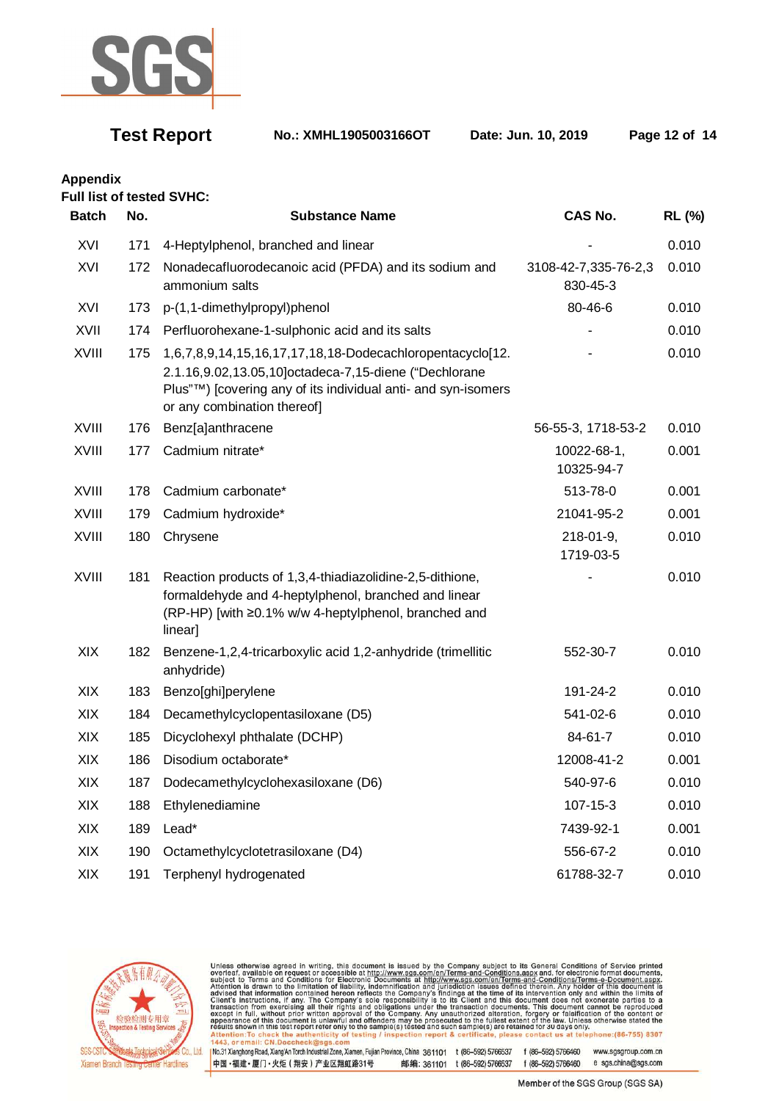

**Test Report No.: XMHL1905003166OT Date: Jun. 10, 2019 Page 12 of 14** 

**Appendix** 

### **Full list of tested SVHC:**

| <b>Batch</b> | No. | <b>Substance Name</b>                                                                                                                                                                                              | <b>CAS No.</b>                   | <b>RL (%)</b> |
|--------------|-----|--------------------------------------------------------------------------------------------------------------------------------------------------------------------------------------------------------------------|----------------------------------|---------------|
| XVI          | 171 | 4-Heptylphenol, branched and linear                                                                                                                                                                                |                                  | 0.010         |
| XVI          | 172 | Nonadecafluorodecanoic acid (PFDA) and its sodium and<br>ammonium salts                                                                                                                                            | 3108-42-7,335-76-2,3<br>830-45-3 | 0.010         |
| XVI          | 173 | p-(1,1-dimethylpropyl)phenol                                                                                                                                                                                       | 80-46-6                          | 0.010         |
| XVII         | 174 | Perfluorohexane-1-sulphonic acid and its salts                                                                                                                                                                     |                                  | 0.010         |
| XVIII        | 175 | 1,6,7,8,9,14,15,16,17,17,18,18-Dodecachloropentacyclo[12.<br>2.1.16,9.02,13.05,10]octadeca-7,15-diene ("Dechlorane<br>Plus"™) [covering any of its individual anti- and syn-isomers<br>or any combination thereof] |                                  | 0.010         |
| XVIII        | 176 | Benz[a]anthracene                                                                                                                                                                                                  | 56-55-3, 1718-53-2               | 0.010         |
| <b>XVIII</b> | 177 | Cadmium nitrate*                                                                                                                                                                                                   | 10022-68-1,<br>10325-94-7        | 0.001         |
| XVIII        | 178 | Cadmium carbonate*                                                                                                                                                                                                 | 513-78-0                         | 0.001         |
| XVIII        | 179 | Cadmium hydroxide*                                                                                                                                                                                                 | 21041-95-2                       | 0.001         |
| XVIII        | 180 | Chrysene                                                                                                                                                                                                           | $218 - 01 - 9$ ,<br>1719-03-5    | 0.010         |
| XVIII        | 181 | Reaction products of 1,3,4-thiadiazolidine-2,5-dithione,<br>formaldehyde and 4-heptylphenol, branched and linear<br>(RP-HP) [with ≥0.1% w/w 4-heptylphenol, branched and<br>linear]                                |                                  | 0.010         |
| XIX          | 182 | Benzene-1,2,4-tricarboxylic acid 1,2-anhydride (trimellitic<br>anhydride)                                                                                                                                          | 552-30-7                         | 0.010         |
| XIX          | 183 | Benzo[ghi]perylene                                                                                                                                                                                                 | 191-24-2                         | 0.010         |
| XIX          | 184 | Decamethylcyclopentasiloxane (D5)                                                                                                                                                                                  | 541-02-6                         | 0.010         |
| XIX          | 185 | Dicyclohexyl phthalate (DCHP)                                                                                                                                                                                      | 84-61-7                          | 0.010         |
| XIX          | 186 | Disodium octaborate*                                                                                                                                                                                               | 12008-41-2                       | 0.001         |
| XIX          | 187 | Dodecamethylcyclohexasiloxane (D6)                                                                                                                                                                                 | 540-97-6                         | 0.010         |
| XIX          | 188 | Ethylenediamine                                                                                                                                                                                                    | 107-15-3                         | 0.010         |
| XIX          | 189 | Lead*                                                                                                                                                                                                              | 7439-92-1                        | 0.001         |
| XIX          | 190 | Octamethylcyclotetrasiloxane (D4)                                                                                                                                                                                  | 556-67-2                         | 0.010         |
| XIX          | 191 | Terphenyl hydrogenated                                                                                                                                                                                             | 61788-32-7                       | 0.010         |



Unless otherwise agreed in writing, this document is issued by the Company subject to its General Conditions of Service printed<br>overleaf, available on request or accessible at http://www.sgs.com/en/Terms-and-Conditions.asp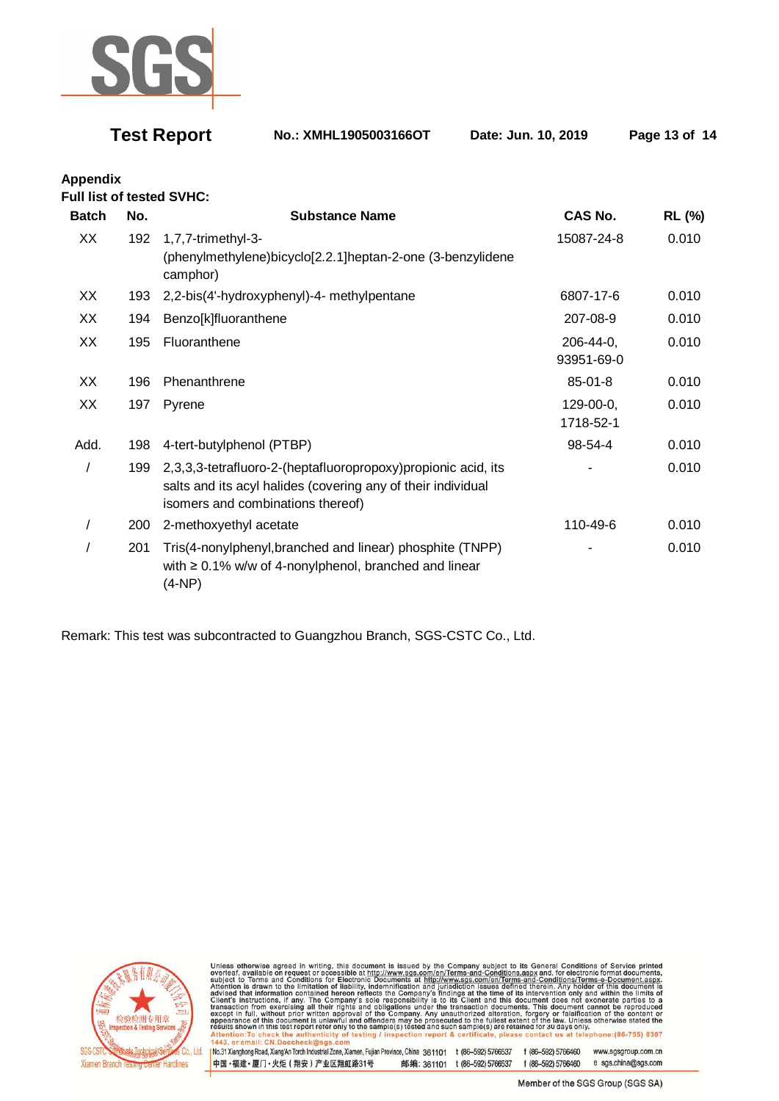

**Test Report No.: XMHL1905003166OT Date: Jun. 10, 2019 Page 13 of 14** 

**Appendix Full list of tested SVHC:** 

| <b>Batch</b> | No. | <b>Substance Name</b>                                                                                                                                              | CAS No.                      | <b>RL (%)</b> |
|--------------|-----|--------------------------------------------------------------------------------------------------------------------------------------------------------------------|------------------------------|---------------|
| XX           | 192 | 1,7,7-trimethyl-3-<br>(phenylmethylene)bicyclo[2.2.1]heptan-2-one (3-benzylidene<br>camphor)                                                                       | 15087-24-8                   | 0.010         |
| XX           | 193 | 2,2-bis(4'-hydroxyphenyl)-4- methylpentane                                                                                                                         | 6807-17-6                    | 0.010         |
| XX           | 194 | Benzo[k]fluoranthene                                                                                                                                               | 207-08-9                     | 0.010         |
| XX           | 195 | Fluoranthene                                                                                                                                                       | $206 - 44 - 0$<br>93951-69-0 | 0.010         |
| XX           | 196 | Phenanthrene                                                                                                                                                       | $85 - 01 - 8$                | 0.010         |
| XX           | 197 | Pyrene                                                                                                                                                             | 129-00-0,<br>1718-52-1       | 0.010         |
| Add.         | 198 | 4-tert-butylphenol (PTBP)                                                                                                                                          | 98-54-4                      | 0.010         |
|              | 199 | 2,3,3,3-tetrafluoro-2-(heptafluoropropoxy)propionic acid, its<br>salts and its acyl halides (covering any of their individual<br>isomers and combinations thereof) |                              | 0.010         |
|              | 200 | 2-methoxyethyl acetate                                                                                                                                             | 110-49-6                     | 0.010         |
|              | 201 | Tris(4-nonylphenyl, branched and linear) phosphite (TNPP)<br>with $\geq 0.1\%$ w/w of 4-nonylphenol, branched and linear<br>(4-NP)                                 |                              | 0.010         |

Remark: This test was subcontracted to Guangzhou Branch, SGS-CSTC Co., Ltd.



Unless otherwise agreed in writing, this document is issued by the Company subject to its General Conditions of Service printed overleaf, available on request or accessible at http://www.sgs.com/en/Terms-and-Conditions.asp

No.31 Xianghong Road, Xiang An Torch Industrial Zone, Xiamen, Fujian Province, China 361101 t (86-592) 5766537 f (86-592) 5766460 www.sgsgroup.com.cn 中国·福建·厦门·火炬 (翔安) 产业区翔虹路31号 邮编: 361101 t (86-592) 5766537 f (86-592) 5766460 e sgs.china@sgs.com